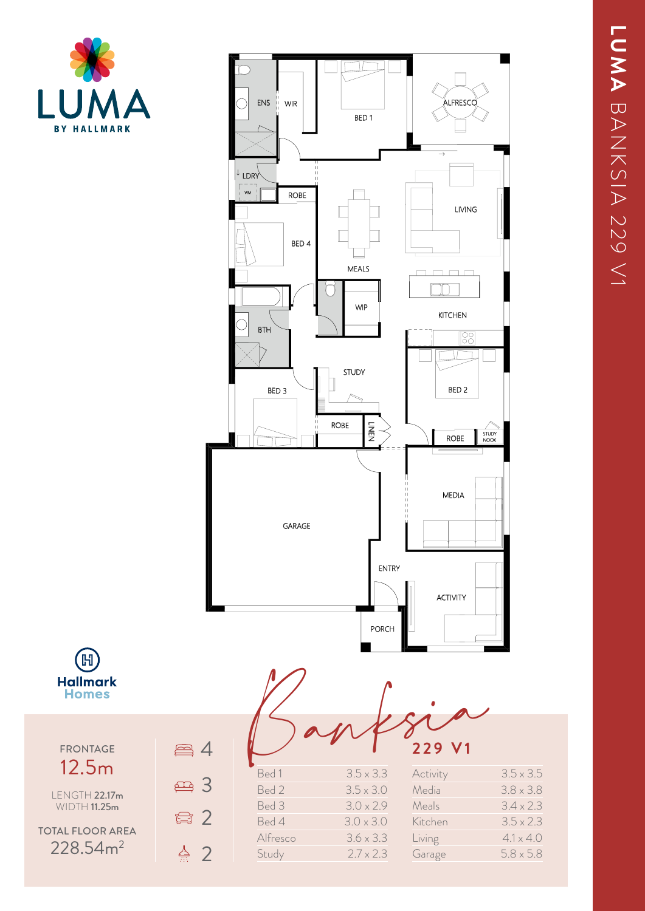